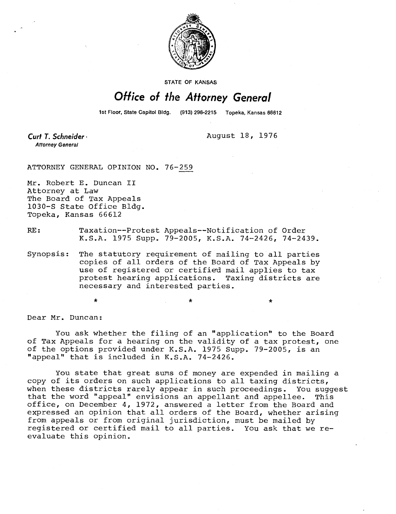

STATE OF KANSAS

## Office of the Attorney General

1st Floor, State Capitol Bldg. (913) 296-2215 Topeka, Kansas 66612

Curt T. Schneider **Attorney General** 

August 18, 1976

 $\star$ 

ATTORNEY GENERAL OPINION NO. 76-259

Mr. Robert E. Duncan II Attorney at Law The Board of Tax Appeals 1030-S State Office Bldg. Topeka, Kansas 66612

## RE: Taxation--Protest Appeals--Notification of Order K.S.A. 1975 Supp. 79-2005, K.S.A. 74-2426, 74-2439.

Synopsis: The statutory requirement of mailing to all parties copies of all orders of the Board of Tax Appeals by use of registered or certified mail applies to tax protest hearing applications. Taxing districts are necessary and interested parties.

Dear Mr. Duncan:

You ask whether the filing of an "application" to the Board of Tax Appeals for a hearing on the validity of a tax protest, one of the options provided under K.S.A. 1975 Supp. 79-2005, is an "appeal" that is included in K.S.A. 74-2426.

You state that great sums of money are expended in mailing a copy of its orders on such applications to all taxing districts, when these districts rarely appear in such proceedings. You suggest that the word "appeal" envisions an appellant and appellee. This office, on December 4, 1972, answered a letter from the Board and expressed an opinion that all orders of the Board, whether arising from appeals or from original jurisdiction, must be mailed by registered or certified mail to all parties. You ask that we reevaluate this opinion.